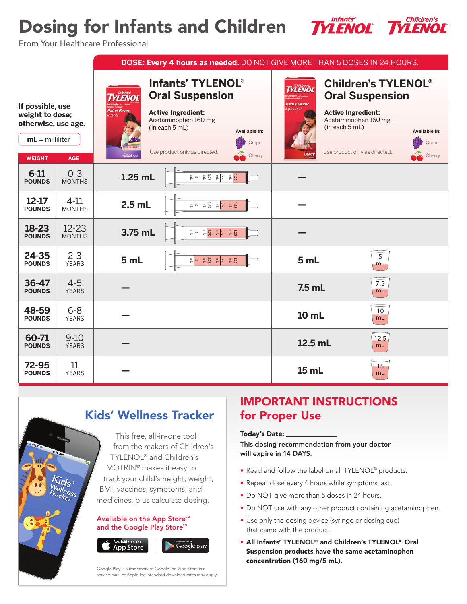# Dosing for Infants and Children



From Your Healthcare Professional

|                                                                                 |                            | DOSE: Every 4 hours as needed. DO NOT GIVE MORE THAN 5 DOSES IN 24 HOURS.                                                                                                                                                                                                                       |                                                                                                                                                                                             |  |  |  |  |
|---------------------------------------------------------------------------------|----------------------------|-------------------------------------------------------------------------------------------------------------------------------------------------------------------------------------------------------------------------------------------------------------------------------------------------|---------------------------------------------------------------------------------------------------------------------------------------------------------------------------------------------|--|--|--|--|
| If possible, use<br>weight to dose;<br>otherwise, use age.<br>$mL =$ milliliter |                            | Infants' TYLENOL®<br><i><b>YLENOL</b></i><br><b>Oral Suspension</b><br>Pain+Fever<br><b>Active Ingredient:</b><br><b>Infants</b><br>Acetaminophen 160 mg<br>(in each 5 mL)<br>Available in:<br>Grape                                                                                            | <b>Children's TYLENOL®</b><br>IYLENOL<br><b>Oral Suspension</b><br>Pain+Fever<br>Ages 2-11<br><b>Active Ingredient:</b><br>Acetaminophen 160 mg<br>(in each 5 mL)<br>Available in:<br>Grape |  |  |  |  |
| <b>WEIGHT</b>                                                                   | <b>AGE</b>                 | Use product only as directed.<br><b>Grape</b> Flav<br>Cherry                                                                                                                                                                                                                                    | Use product only as directed.<br>Cherry<br>Cherry                                                                                                                                           |  |  |  |  |
| $6 - 11$<br><b>POUNDS</b>                                                       | $0 - 3$<br><b>MONTHS</b>   | $\frac{1}{2} \begin{vmatrix} \vec{E} & \vec{X} \\ \vec{B} & \vec{Y} \end{vmatrix} \begin{vmatrix} \vec{E} & \vec{X} \\ \vec{B} & \vec{X} \end{vmatrix} \begin{vmatrix} \vec{E} & \vec{B} \\ \vec{B} & \vec{B} \end{vmatrix}$<br>$1.25$ mL                                                       |                                                                                                                                                                                             |  |  |  |  |
| $12 - 17$<br><b>POUNDS</b>                                                      | $4-11$<br><b>MONTHS</b>    | $\frac{1}{2} \begin{vmatrix} \frac{1}{2} & \frac{1}{2} \\ \frac{1}{2} & \frac{1}{2} \end{vmatrix} \begin{vmatrix} \frac{1}{2} & \frac{1}{2} \\ \frac{1}{2} & \frac{1}{2} \end{vmatrix} \begin{vmatrix} \frac{1}{2} & \frac{1}{2} \\ \frac{1}{2} & \frac{1}{2} \end{vmatrix}$<br>$2.5$ mL        |                                                                                                                                                                                             |  |  |  |  |
| 18-23<br><b>POUNDS</b>                                                          | $12 - 23$<br><b>MONTHS</b> | $\frac{1}{2} \frac{2}{N} \frac{1}{K} = \frac{2}{N} \frac{1}{N} \frac{1}{K} = \frac{2}{N} \frac{1}{N} \frac{1}{K} = \frac{5}{N}$<br>3.75 mL                                                                                                                                                      |                                                                                                                                                                                             |  |  |  |  |
| 24-35<br><b>POUNDS</b>                                                          | $2 - 3$<br><b>YEARS</b>    | $\frac{1}{2} \begin{vmatrix} \frac{1}{2} & \frac{1}{2} \\ \frac{1}{2} & \frac{1}{2} \end{vmatrix} \begin{vmatrix} \frac{1}{2} & \frac{3}{2} \\ \frac{1}{2} & \frac{1}{2} \end{vmatrix} \begin{vmatrix} \frac{1}{2} & \frac{1}{2} \\ \frac{1}{2} & \frac{1}{2} \end{vmatrix}$<br>5 <sub>mL</sub> | $5\phantom{.}$<br>5 <sub>mL</sub><br>mL                                                                                                                                                     |  |  |  |  |
| 36-47<br><b>POUNDS</b>                                                          | $4 - 5$<br><b>YEARS</b>    |                                                                                                                                                                                                                                                                                                 | 7.5<br>$7.5$ mL<br>mL                                                                                                                                                                       |  |  |  |  |
| 48-59<br><b>POUNDS</b>                                                          | $6 - 8$<br><b>YEARS</b>    |                                                                                                                                                                                                                                                                                                 | 10<br>10 mL<br>mL                                                                                                                                                                           |  |  |  |  |
| 60-71<br><b>POUNDS</b>                                                          | $9-10$<br><b>YEARS</b>     |                                                                                                                                                                                                                                                                                                 | 12.5<br>12.5 mL<br>mL                                                                                                                                                                       |  |  |  |  |
| 72-95<br><b>POUNDS</b>                                                          | 11<br><b>YEARS</b>         |                                                                                                                                                                                                                                                                                                 | 15<br>15 mL<br>mL                                                                                                                                                                           |  |  |  |  |

# Kids' Wellness Tracker

This free, all-in-one tool from the makers of Children's TYLENOL® and Children's MOTRIN® makes it easy to track your child's height, weight, BMI, vaccines, symptoms, and medicines, plus calculate dosing.

#### Available on the App Store<sup>5M</sup> and the Google Play Store™



Google play

Google Play is a trademark of Google Inc. App Store is a service mark of Apple Inc. Standard download rates may apply.

## IMPORTANT INSTRUCTIONS for Proper Use

### Today's Date:

This dosing recommendation from your doctor will expire in 14 DAYS.

- Read and follow the label on all TYLENOL® products.
- Repeat dose every 4 hours while symptoms last.
- Do NOT give more than 5 doses in 24 hours.
- Do NOT use with any other product containing acetaminophen.
- Use only the dosing device (syringe or dosing cup) that came with the product.
- All Infants' TYLENOL® and Children's TYLENOL® Oral Suspension products have the same acetaminophen concentration (160 mg/5 mL).